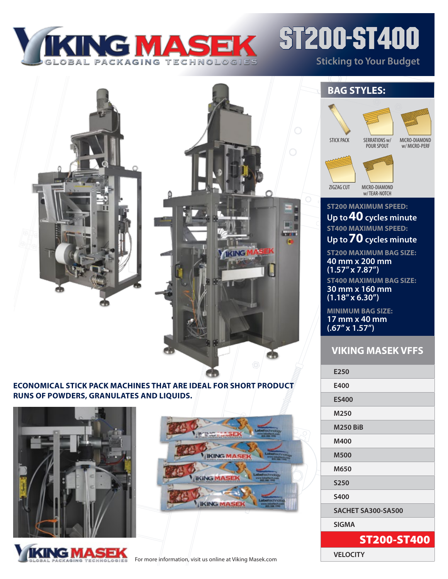

# ST200-ST400 **Sticking to Your Budget**

mi **KING** Ф

#### **Economical stick pack machines that are ideal for short product runs of powders, GRANULATES and liquids.**







## **BAG STYLES:**



W/ MICRO-PERF

ZIGZAG CUT



w/ TEAR-NOTCH

### **ST200 MAXIMUM SPEED: Up to 40 cycles minute ST400 MAXIMUM SPEED: Up to 70 cycles minute**

**ST200 MAXIMUM BAG SIZE: 40 mm x 200 mm (1.57" x 7.87") ST400 MAXIMUM BAG SIZE: 30 mm x 160 mm (1.18" x 6.30")** 

**MINIMUM BAG SIZE: 17 mm x 40 mm (.67" x 1.57")**

## **VIKING MASEK VFFS**

| E250               |  |
|--------------------|--|
| E400               |  |
| <b>ES400</b>       |  |
| M250               |  |
| <b>M250 BiB</b>    |  |
| M400               |  |
| <b>M500</b>        |  |
| M650               |  |
| <b>S250</b>        |  |
| <b>S400</b>        |  |
| SACHET SA300-SA500 |  |
| <b>SIGMA</b>       |  |
| <b>ST200-ST400</b> |  |
| <b>VELOCITY</b>    |  |

For more information, visit us online at Viking Masek.com